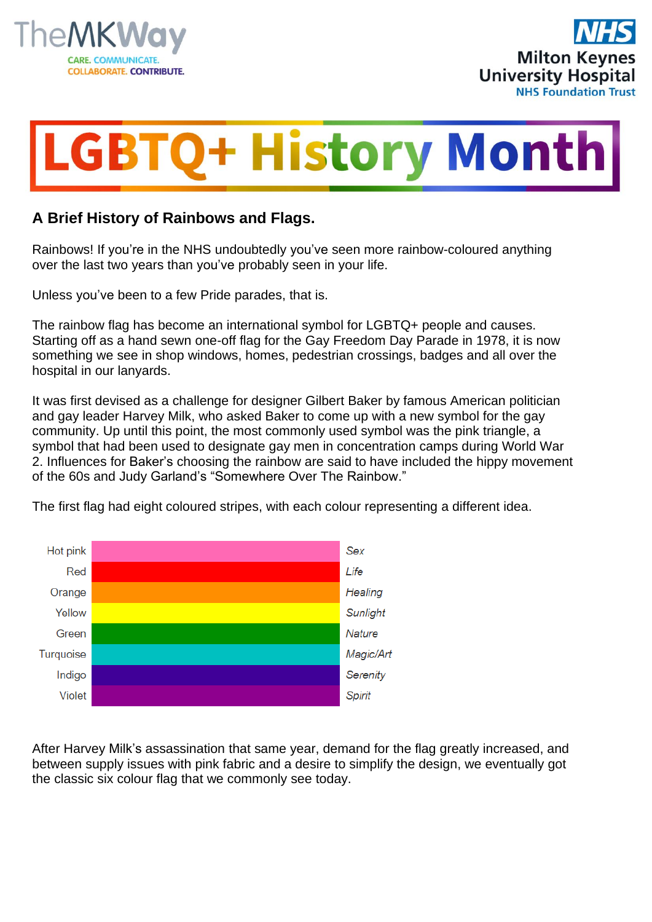





## **A Brief History of Rainbows and Flags.**

Rainbows! If you're in the NHS undoubtedly you've seen more rainbow-coloured anything over the last two years than you've probably seen in your life.

Unless you've been to a few Pride parades, that is.

The rainbow flag has become an international symbol for LGBTQ+ people and causes. Starting off as a hand sewn one-off flag for the Gay Freedom Day Parade in 1978, it is now something we see in shop windows, homes, pedestrian crossings, badges and all over the hospital in our lanyards.

It was first devised as a challenge for designer Gilbert Baker by famous American politician and gay leader Harvey Milk, who asked Baker to come up with a new symbol for the gay community. Up until this point, the most commonly used symbol was the pink triangle, a symbol that had been used to designate gay men in concentration camps during World War 2. Influences for Baker's choosing the rainbow are said to have included the hippy movement of the 60s and Judy Garland's "Somewhere Over The Rainbow."

The first flag had eight coloured stripes, with each colour representing a different idea.



After Harvey Milk's assassination that same year, demand for the flag greatly increased, and between supply issues with pink fabric and a desire to simplify the design, we eventually got the classic six colour flag that we commonly see today.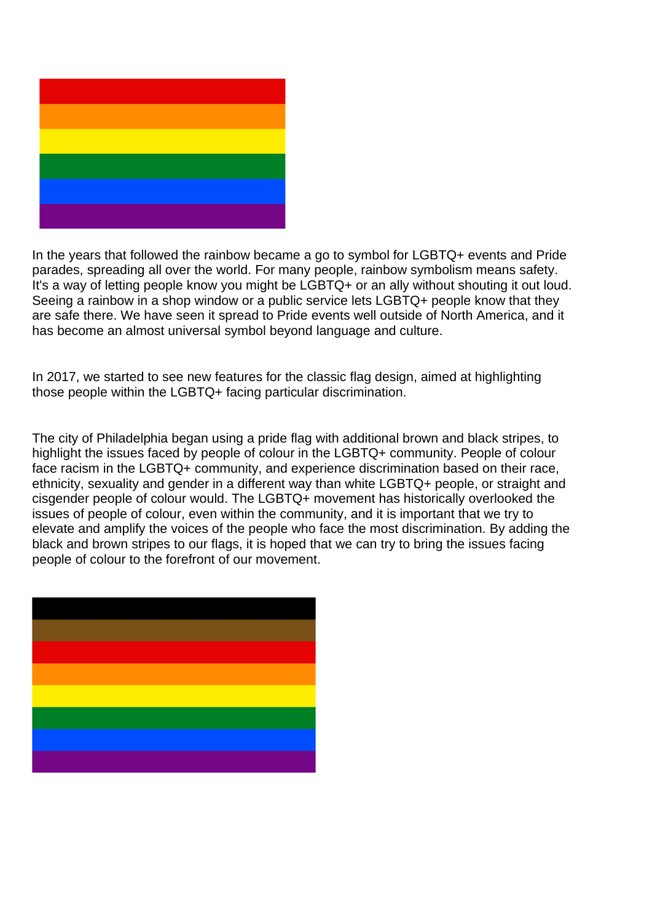

In the years that followed the rainbow became a go to symbol for LGBTQ+ events and Pride parades, spreading all over the world. For many people, rainbow symbolism means safety. It's a way of letting people know you might be LGBTQ+ or an ally without shouting it out loud. Seeing a rainbow in a shop window or a public service lets LGBTQ+ people know that they are safe there. We have seen it spread to Pride events well outside of North America, and it has become an almost universal symbol beyond language and culture.

In 2017, we started to see new features for the classic flag design, aimed at highlighting those people within the LGBTQ+ facing particular discrimination.

The city of Philadelphia began using a pride flag with additional brown and black stripes, to highlight the issues faced by people of colour in the LGBTQ+ community. People of colour face racism in the LGBTQ+ community, and experience discrimination based on their race, ethnicity, sexuality and gender in a different way than white LGBTQ+ people, or straight and cisgender people of colour would. The LGBTQ+ movement has historically overlooked the issues of people of colour, even within the community, and it is important that we try to elevate and amplify the voices of the people who face the most discrimination. By adding the black and brown stripes to our flags, it is hoped that we can try to bring the issues facing people of colour to the forefront of our movement.